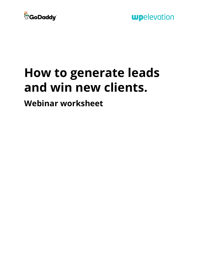

# **How to generate leads and win new clients.**

**Webinar worksheet**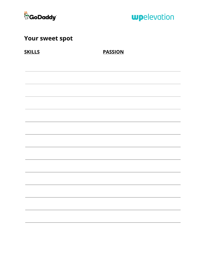

## **Your sweet spot**

**SKILLS PASSION**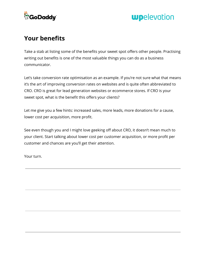

#### **Your benefits**

Take a stab at listing some of the benefits your sweet spot offers other people. Practising writing out benefits is one of the most valuable things you can do as a business communicator.

Let's take conversion rate optimisation as an example. If you're not sure what that means it's the art of improving conversion rates on websites and is quite often abbreviated to CRO. CRO is great for lead generation websites or ecommerce stores. If CRO is your sweet spot, what is the benefit this offers your clients?

Let me give you a few hints: increased sales, more leads, more donations for a cause, lower cost per acquisition, more profit.

See even though you and I might love geeking off about CRO, it doesn't mean much to your client. Start talking about lower cost per customer acquisition, or more profit per customer and chances are you'll get their attention.

Your turn.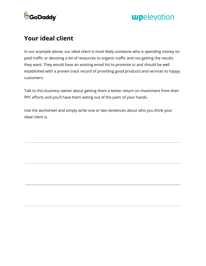

#### **Your ideal client**

In our example above, our ideal client is most likely someone who is spending money on paid traffic or devoting a lot of resources to organic traffic and not getting the results they want. They would have an existing email list to promote to and should be well established with a proven track record of providing good products and services to happy customers.

Talk to this business owner about getting them a better return on investment from their PPC efforts and you'll have them eating out of the palm of your hands.

Use the worksheet and simply write one or two sentences about who you think your ideal client is.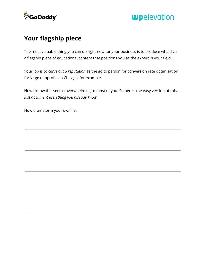

## **Your flagship piece**

The most valuable thing you can do right now for your business is to produce what I call a flagship piece of educational content that positions you as the expert in your field.

Your job is to *carve out a reputation* as the go to person for conversion rate optimisation for large nonprofits in Chicago, for example.

Now I know this seems overwhelming to most of you. So here's the easy version of this. *Just document everything you already know.*

Now brainstorm your own list.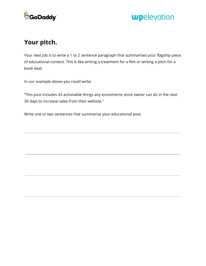

## **Your pitch.**

Your next job is to write a 1 to 2 sentence paragraph that summarises your flagship piece of educational content. This is like writing a treatment for a film or writing a pitch for a book deal.

In our example above you could write:

"This post includes 43 actionable things any ecommerce store owner can do in the next 30 days to increase sales from their website."

Write one or two sentences that summarise your educational post.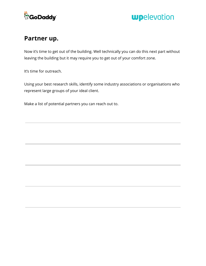

#### **Partner up.**

Now it's time to get out of the building. Well technically you can do this next part without leaving the building but it may require you to get out of your comfort zone.

It's time for outreach.

Using your best research skills, identify some industry associations or organisations who represent large groups of your ideal client.

Make a list of potential partners you can reach out to.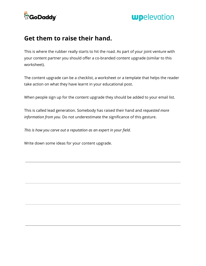

#### **Get them to raise their hand.**

This is where the rubber really starts to hit the road. As part of your joint venture with your content partner you should offer a co-branded content upgrade (similar to this worksheet).

The content upgrade can be a checklist, a worksheet or a template that helps the reader take action on what they have learnt in your educational post.

When people sign up for the content upgrade they should be added to your email list.

This is called lead generation. Somebody has raised their hand and *requested more information from you*. Do not underestimate the significance of this gesture.

*This is how you carve out a reputation as an expert in your field.*

Write down some ideas for your content upgrade.